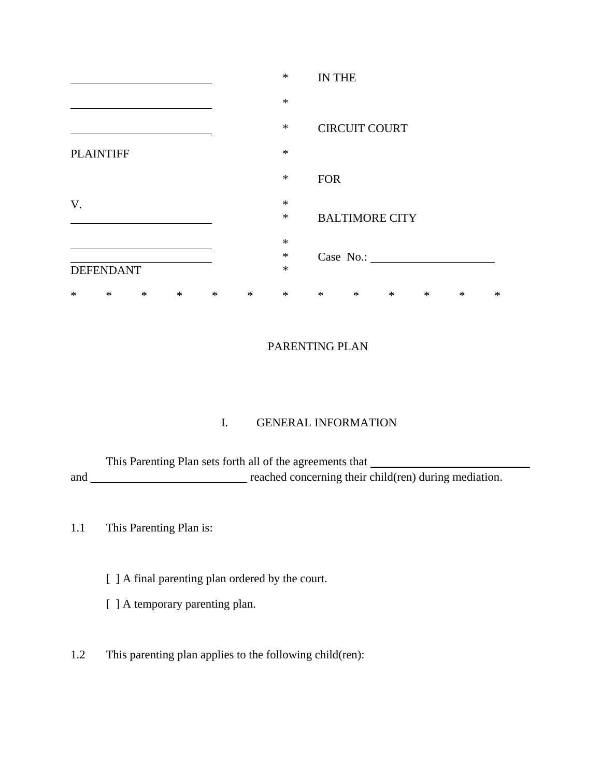|                  |                  |        |        |        |        | $\ast$ | <b>IN THE</b> |                       |        |        |        |        |
|------------------|------------------|--------|--------|--------|--------|--------|---------------|-----------------------|--------|--------|--------|--------|
|                  |                  |        |        |        |        | $\ast$ |               |                       |        |        |        |        |
|                  |                  |        |        |        |        | $\ast$ |               | <b>CIRCUIT COURT</b>  |        |        |        |        |
| <b>PLAINTIFF</b> |                  |        |        |        | $\ast$ |        |               |                       |        |        |        |        |
|                  |                  |        |        |        |        | $\ast$ | <b>FOR</b>    |                       |        |        |        |        |
| V.               |                  |        |        |        |        | $\ast$ |               |                       |        |        |        |        |
|                  |                  |        |        |        |        | $\ast$ |               | <b>BALTIMORE CITY</b> |        |        |        |        |
|                  |                  |        |        |        |        | $\ast$ |               |                       |        |        |        |        |
|                  |                  |        |        |        |        | $\ast$ |               | Case No.:             |        |        |        |        |
|                  | <b>DEFENDANT</b> |        |        |        |        | $\ast$ |               |                       |        |        |        |        |
| ∗                | $\ast$           | $\ast$ | $\ast$ | $\ast$ | $\ast$ | $\ast$ | $\ast$        | $\ast$                | $\ast$ | $\ast$ | $\ast$ | $\ast$ |

## PARENTING PLAN

# I. GENERAL INFORMATION

This Parenting Plan sets forth all of the agreements that and reached concerning their child(ren) during mediation.

## 1.1 This Parenting Plan is:

- [ ] A final parenting plan ordered by the court.
- [ ] A temporary parenting plan.
- 1.2 This parenting plan applies to the following child(ren):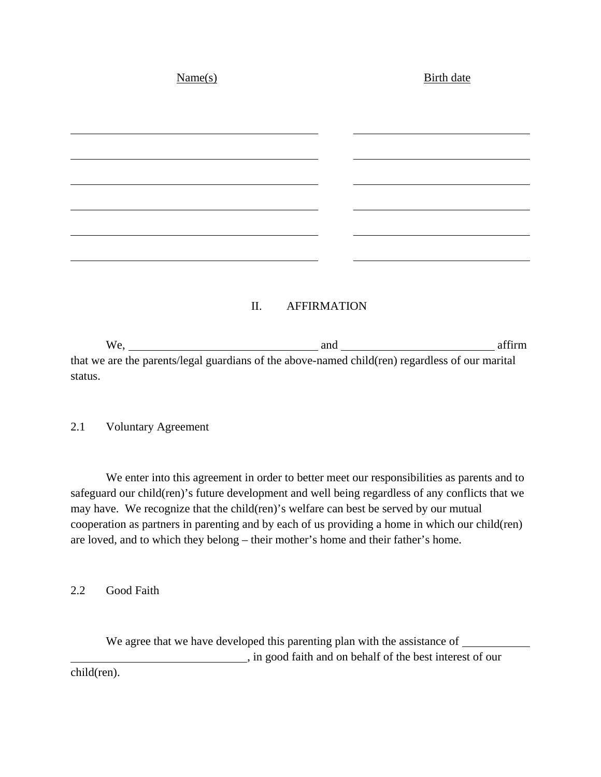| Name(s) | <b>Birth date</b> |  |  |
|---------|-------------------|--|--|
|         |                   |  |  |
|         |                   |  |  |
|         |                   |  |  |
|         |                   |  |  |
|         |                   |  |  |
|         |                   |  |  |
|         |                   |  |  |
|         |                   |  |  |

#### II. AFFIRMATION

We, and affirm and affirm that we are the parents/legal guardians of the above-named child(ren) regardless of our marital status.

#### 2.1 Voluntary Agreement

We enter into this agreement in order to better meet our responsibilities as parents and to safeguard our child(ren)'s future development and well being regardless of any conflicts that we may have. We recognize that the child(ren)'s welfare can best be served by our mutual cooperation as partners in parenting and by each of us providing a home in which our child(ren) are loved, and to which they belong – their mother's home and their father's home.

2.2 Good Faith

We agree that we have developed this parenting plan with the assistance of \_\_\_\_\_\_\_\_\_ , in good faith and on behalf of the best interest of our child(ren).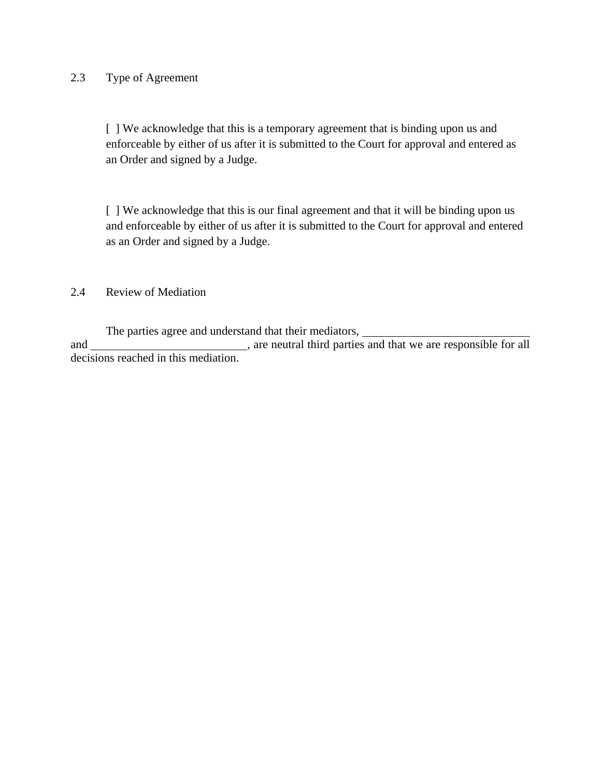### 2.3 Type of Agreement

[ ] We acknowledge that this is a temporary agreement that is binding upon us and enforceable by either of us after it is submitted to the Court for approval and entered as an Order and signed by a Judge.

[] We acknowledge that this is our final agreement and that it will be binding upon us and enforceable by either of us after it is submitted to the Court for approval and entered as an Order and signed by a Judge.

### 2.4 Review of Mediation

The parties agree and understand that their mediators, and \_\_\_\_\_\_\_\_\_\_\_\_\_\_\_\_\_\_\_\_\_\_\_\_\_, are neutral third parties and that we are responsible for all decisions reached in this mediation.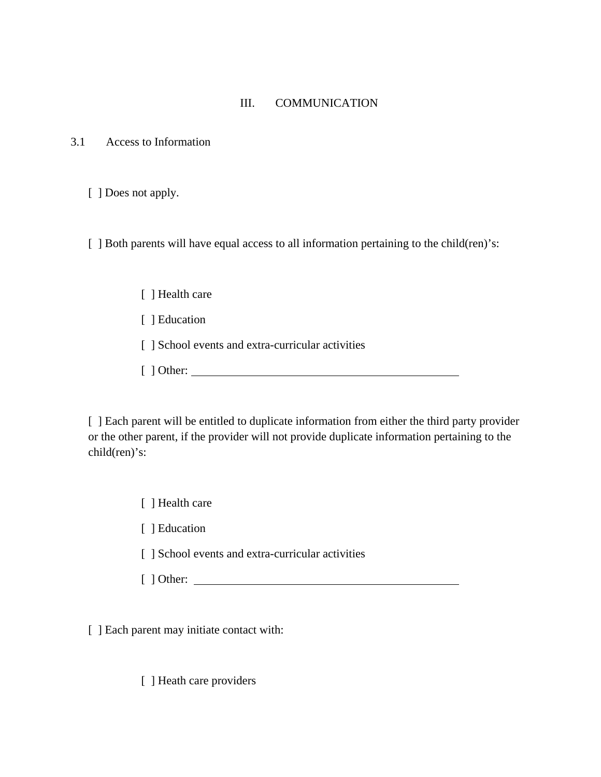#### III. COMMUNICATION

3.1 Access to Information

[ ] Does not apply.

[ ] Both parents will have equal access to all information pertaining to the child(ren)'s:

- [ ] Health care
- [ ] Education
- [ ] School events and extra-curricular activities
- [ ] Other:

[ ] Each parent will be entitled to duplicate information from either the third party provider or the other parent, if the provider will not provide duplicate information pertaining to the child(ren)'s:

[ ] Health care

[ ] Education

- [ ] School events and extra-curricular activities
- [ ] Other:

[ ] Each parent may initiate contact with:

[ ] Heath care providers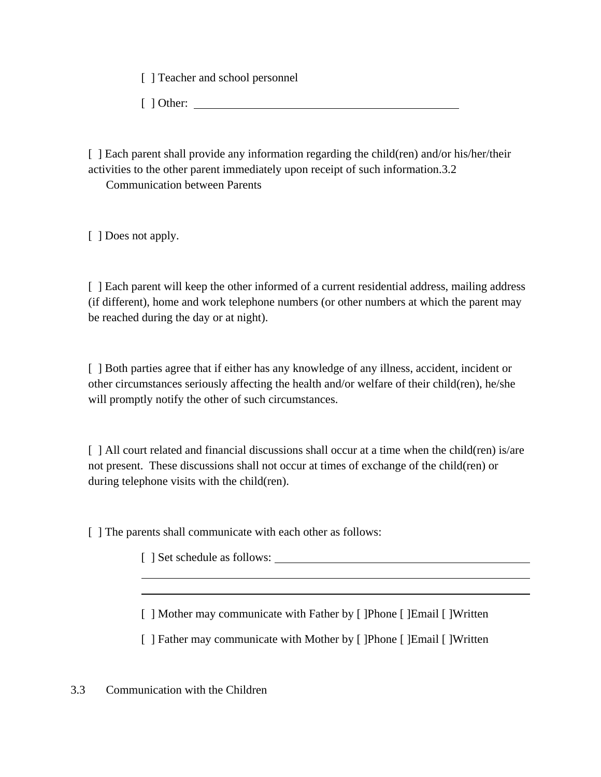[ ] Teacher and school personnel

[ ] Other:

[ ] Each parent shall provide any information regarding the child(ren) and/or his/her/their activities to the other parent immediately upon receipt of such information.3.2

Communication between Parents

[ ] Does not apply.

[ ] Each parent will keep the other informed of a current residential address, mailing address (if different), home and work telephone numbers (or other numbers at which the parent may be reached during the day or at night).

[ ] Both parties agree that if either has any knowledge of any illness, accident, incident or other circumstances seriously affecting the health and/or welfare of their child(ren), he/she will promptly notify the other of such circumstances.

[ ] All court related and financial discussions shall occur at a time when the child(ren) is/are not present. These discussions shall not occur at times of exchange of the child(ren) or during telephone visits with the child(ren).

[] The parents shall communicate with each other as follows:

[ ] Set schedule as follows:

[ ] Mother may communicate with Father by [ ]Phone [ ]Email [ ]Written

[ ] Father may communicate with Mother by [ ]Phone [ ]Email [ ]Written

3.3 Communication with the Children

 $\overline{a}$  $\overline{a}$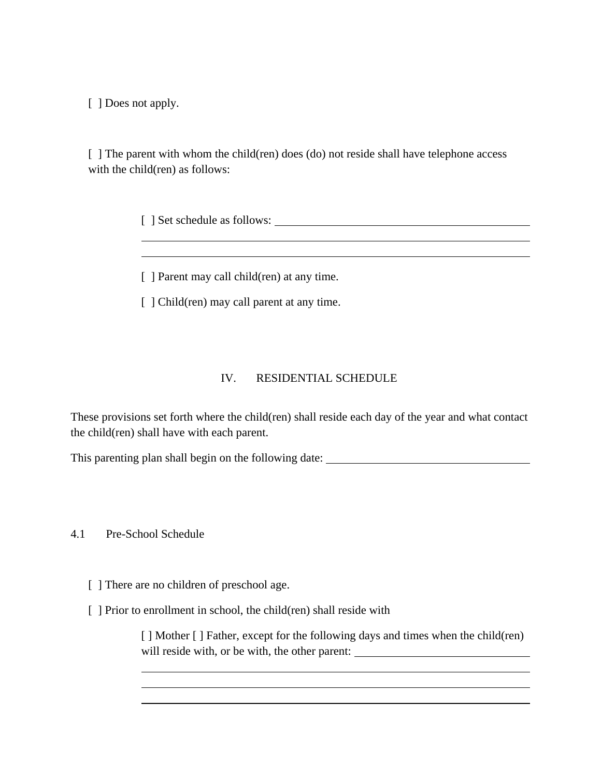[ ] Does not apply.

 $\overline{a}$  $\overline{a}$ 

[] The parent with whom the child(ren) does (do) not reside shall have telephone access with the child(ren) as follows:

[ ] Set schedule as follows:

[ ] Parent may call child(ren) at any time.

[ ] Child(ren) may call parent at any time.

## IV. RESIDENTIAL SCHEDULE

These provisions set forth where the child(ren) shall reside each day of the year and what contact the child(ren) shall have with each parent.

This parenting plan shall begin on the following date:

4.1 Pre-School Schedule

 $\overline{a}$ 

 $\overline{a}$ 

[ ] There are no children of preschool age.

[ ] Prior to enrollment in school, the child(ren) shall reside with

[ ] Mother [ ] Father, except for the following days and times when the child(ren) will reside with, or be with, the other parent: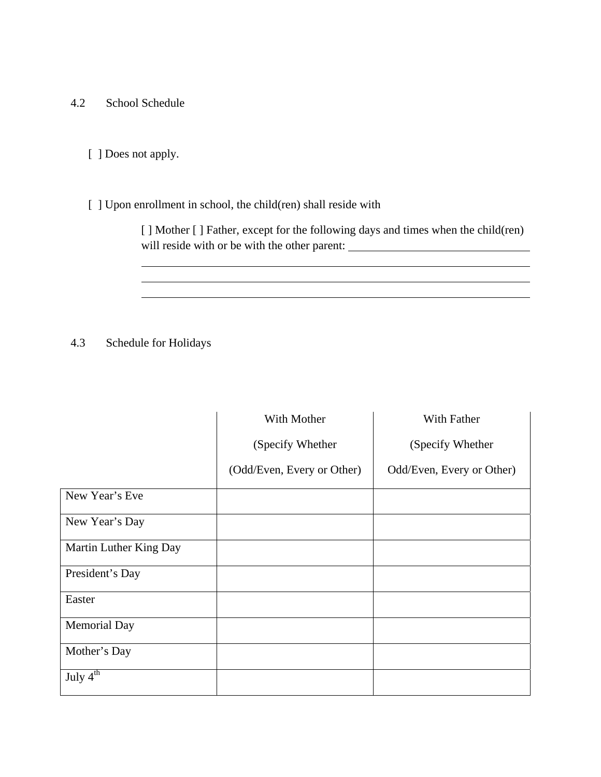- 4.2 School Schedule
	- [ ] Does not apply.

## [ ] Upon enrollment in school, the child(ren) shall reside with

[ ] Mother [ ] Father, except for the following days and times when the child(ren) will reside with or be with the other parent: \_\_\_\_\_\_\_\_\_\_\_\_\_\_\_\_\_\_\_\_\_\_\_\_\_\_\_\_\_\_\_\_\_\_\_

<u> 1980 - Johann Barn, mars ann an t-Amhain Aonaich an t-Aonaich an t-Aonaich ann an t-Aonaich ann an t-Aonaich</u>

## 4.3 Schedule for Holidays

 $\overline{a}$ 

 $\overline{a}$ 

|                                 | With Mother                | With Father               |
|---------------------------------|----------------------------|---------------------------|
|                                 | (Specify Whether           | (Specify Whether          |
|                                 | (Odd/Even, Every or Other) | Odd/Even, Every or Other) |
| New Year's Eve                  |                            |                           |
| New Year's Day                  |                            |                           |
| Martin Luther King Day          |                            |                           |
| President's Day                 |                            |                           |
| Easter                          |                            |                           |
| <b>Memorial Day</b>             |                            |                           |
| Mother's Day                    |                            |                           |
| July $4^{\overline{\text{th}}}$ |                            |                           |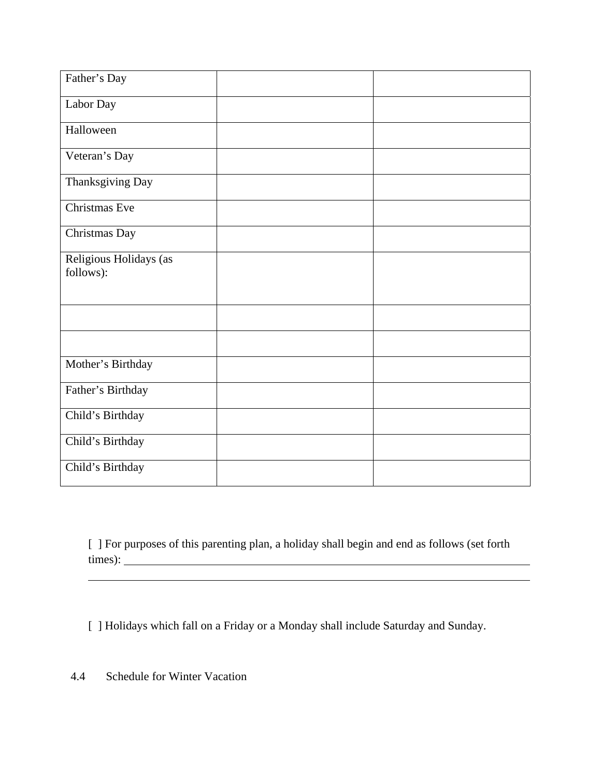| Father's Day                        |  |
|-------------------------------------|--|
| Labor Day                           |  |
| Halloween                           |  |
| Veteran's Day                       |  |
| Thanksgiving Day                    |  |
| Christmas Eve                       |  |
| Christmas Day                       |  |
| Religious Holidays (as<br>follows): |  |
|                                     |  |
|                                     |  |
| Mother's Birthday                   |  |
| Father's Birthday                   |  |
| Child's Birthday                    |  |
| Child's Birthday                    |  |
| Child's Birthday                    |  |

[ ] For purposes of this parenting plan, a holiday shall begin and end as follows (set forth times):

[ ] Holidays which fall on a Friday or a Monday shall include Saturday and Sunday.

4.4 Schedule for Winter Vacation

 $\overline{a}$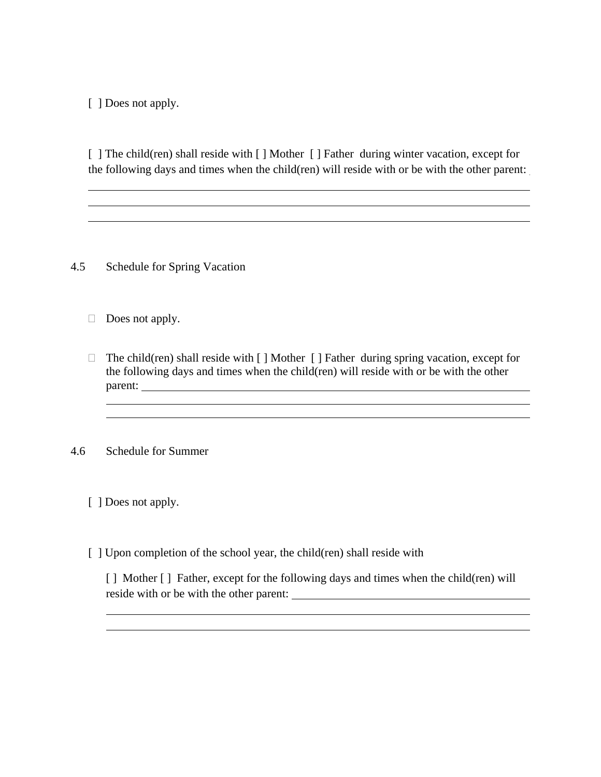[ ] Does not apply.

 $\overline{a}$ 

 $\overline{a}$ 

[ ] The child(ren) shall reside with [ ] Mother [ ] Father during winter vacation, except for the following days and times when the child(ren) will reside with or be with the other parent:

4.5 Schedule for Spring Vacation

 $\Box$  Does not apply.

 $\Box$  The child(ren) shall reside with  $\Box$  Mother  $\Box$  Father during spring vacation, except for the following days and times when the child(ren) will reside with or be with the other parent:

4.6 Schedule for Summer

 $\overline{a}$  $\overline{a}$ 

 $\overline{a}$  $\overline{a}$ 

[ ] Does not apply.

[ ] Upon completion of the school year, the child(ren) shall reside with

[ ] Mother [ ] Father, except for the following days and times when the child(ren) will reside with or be with the other parent: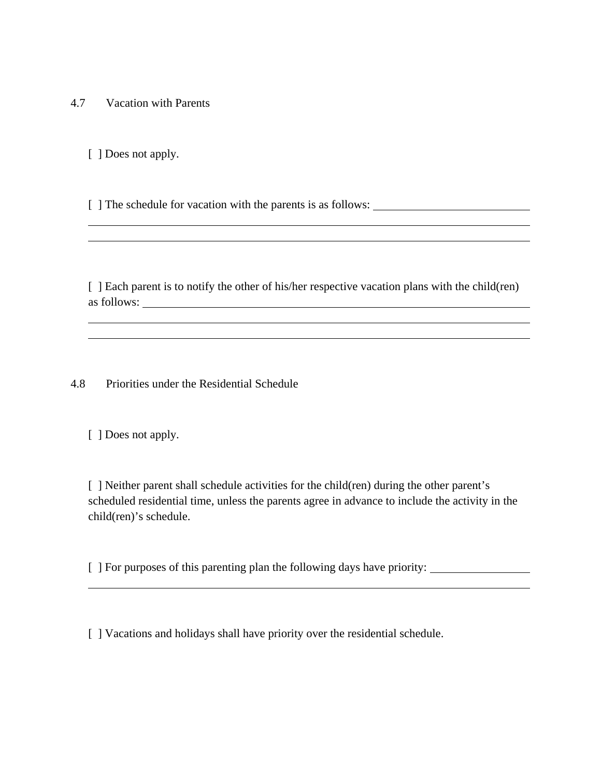4.7 Vacation with Parents

[ ] Does not apply.

 $\overline{a}$  $\overline{a}$ 

 $\overline{a}$  $\overline{a}$ 

 $\overline{a}$ 

[ ] The schedule for vacation with the parents is as follows:

[ ] Each parent is to notify the other of his/her respective vacation plans with the child(ren) as follows:

4.8 Priorities under the Residential Schedule

[ ] Does not apply.

[ ] Neither parent shall schedule activities for the child(ren) during the other parent's scheduled residential time, unless the parents agree in advance to include the activity in the child(ren)'s schedule.

[ ] For purposes of this parenting plan the following days have priority:

[ ] Vacations and holidays shall have priority over the residential schedule.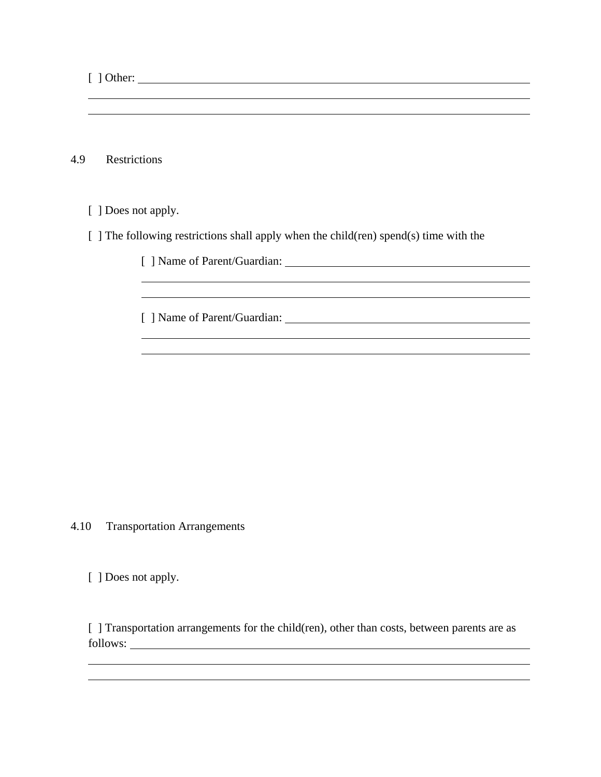[ ] Other:

 $\overline{a}$  $\overline{a}$ 

4.9 Restrictions

[ ] Does not apply.

 $\overline{a}$  $\overline{a}$ 

 $\overline{a}$  $\overline{a}$ 

[ ] The following restrictions shall apply when the child(ren) spend(s) time with the

[ ] Name of Parent/Guardian:

[ ] Name of Parent/Guardian:

4.10 Transportation Arrangements

[ ] Does not apply.

 $\overline{a}$  $\overline{a}$ 

[ ] Transportation arrangements for the child(ren), other than costs, between parents are as follows: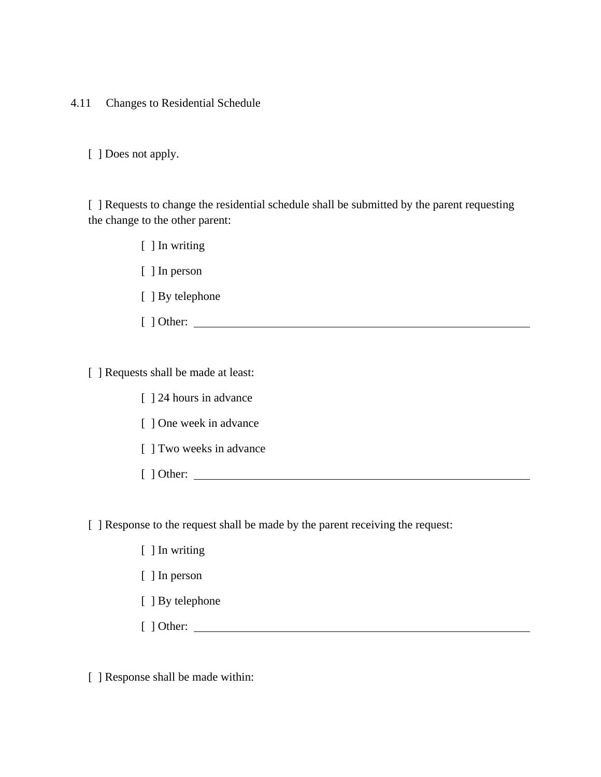4.11 Changes to Residential Schedule

[ ] Does not apply.

[ ] Requests to change the residential schedule shall be submitted by the parent requesting the change to the other parent:

> [ ] In writing [ ] In person [ ] By telephone [ ] Other:

[ ] Requests shall be made at least:

- [ ] 24 hours in advance
- [ ] One week in advance
- [ ] Two weeks in advance
- [ ] Other:

[ ] Response to the request shall be made by the parent receiving the request:

- [ ] In writing
- [ ] In person
- [ ] By telephone
- [ ] Other:

[ ] Response shall be made within: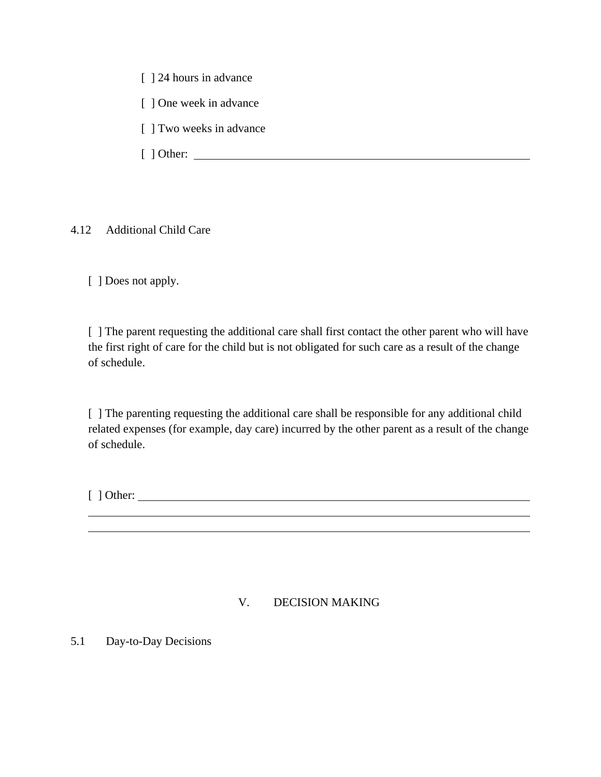[  $\vert$  24 hours in advance

[ ] One week in advance

- [ ] Two weeks in advance
- [ ] Other:

4.12 Additional Child Care

[ ] Does not apply.

[] The parent requesting the additional care shall first contact the other parent who will have the first right of care for the child but is not obligated for such care as a result of the change of schedule.

[] The parenting requesting the additional care shall be responsible for any additional child related expenses (for example, day care) incurred by the other parent as a result of the change of schedule.

[ ] Other:

 $\overline{a}$  $\overline{a}$ 

## V. DECISION MAKING

5.1 Day-to-Day Decisions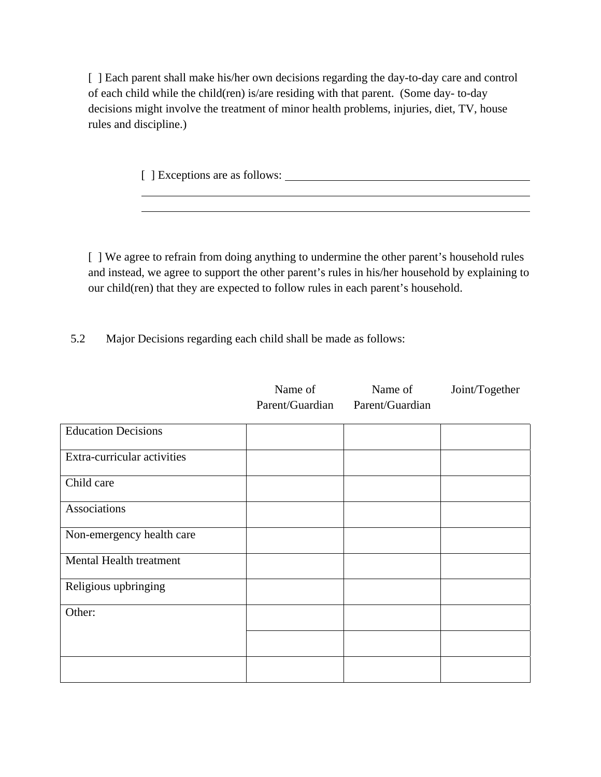[ ] Each parent shall make his/her own decisions regarding the day-to-day care and control of each child while the child(ren) is/are residing with that parent. (Some day- to-day decisions might involve the treatment of minor health problems, injuries, diet, TV, house rules and discipline.)

[ ] Exceptions are as follows:

 $\overline{a}$  $\overline{a}$ 

[ ] We agree to refrain from doing anything to undermine the other parent's household rules and instead, we agree to support the other parent's rules in his/her household by explaining to our child(ren) that they are expected to follow rules in each parent's household.

Name of

Name of

Joint/Together

5.2 Major Decisions regarding each child shall be made as follows:

|                             | THATTLE OT<br>Parent/Guardian | $1$ value of<br>Parent/Guardian | $\frac{10}{2}$ |
|-----------------------------|-------------------------------|---------------------------------|----------------|
| <b>Education Decisions</b>  |                               |                                 |                |
| Extra-curricular activities |                               |                                 |                |
| Child care                  |                               |                                 |                |
| Associations                |                               |                                 |                |
| Non-emergency health care   |                               |                                 |                |
| Mental Health treatment     |                               |                                 |                |
| Religious upbringing        |                               |                                 |                |
| Other:                      |                               |                                 |                |
|                             |                               |                                 |                |
|                             |                               |                                 |                |
|                             |                               |                                 |                |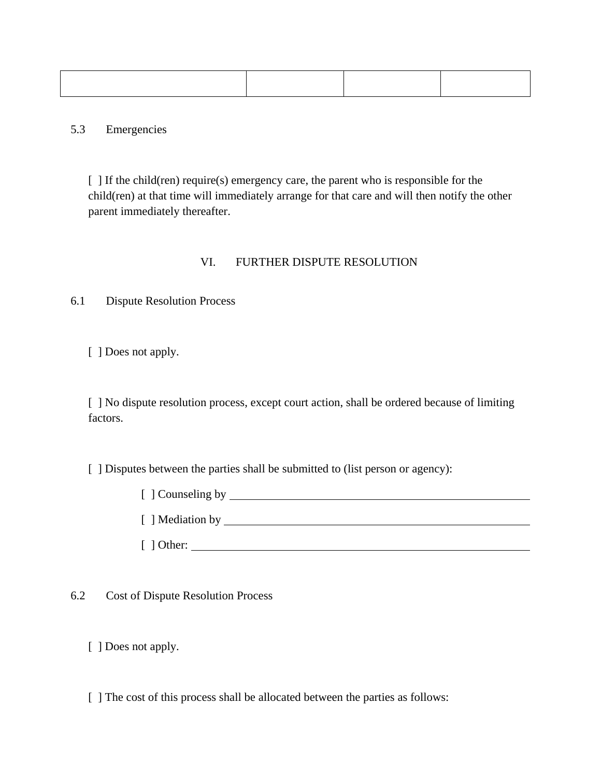5.3 Emergencies

[ ] If the child(ren) require(s) emergency care, the parent who is responsible for the child(ren) at that time will immediately arrange for that care and will then notify the other parent immediately thereafter.

## VI. FURTHER DISPUTE RESOLUTION

6.1 Dispute Resolution Process

[ ] Does not apply.

[ ] No dispute resolution process, except court action, shall be ordered because of limiting factors.

[ ] Disputes between the parties shall be submitted to (list person or agency):

[ ] Counseling by [ ] Mediation by [ ] Other:

6.2 Cost of Dispute Resolution Process

[ ] Does not apply.

[] The cost of this process shall be allocated between the parties as follows: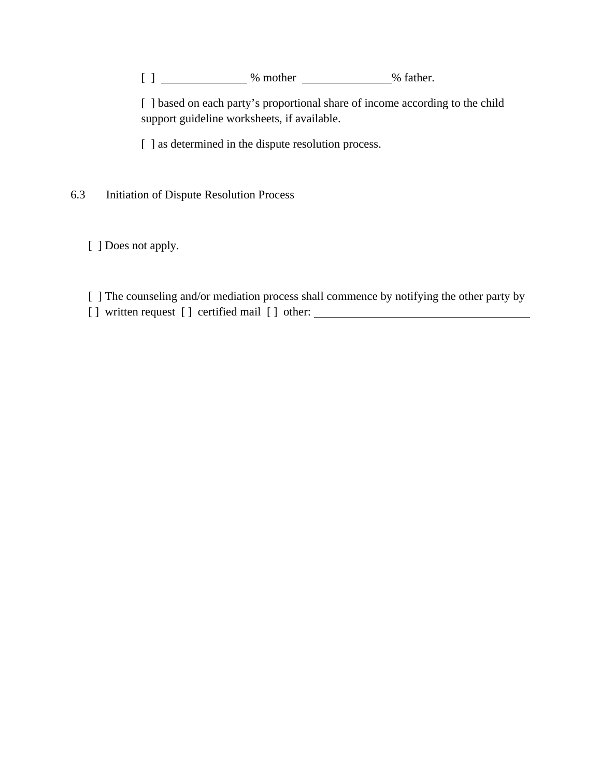[ ] \_\_\_\_\_\_\_\_\_\_\_\_\_\_\_\_\_% mother \_\_\_\_\_\_\_\_\_\_\_\_\_\_\_% father.

[ ] based on each party's proportional share of income according to the child support guideline worksheets, if available.

[ ] as determined in the dispute resolution process.

6.3 Initiation of Dispute Resolution Process

[ ] Does not apply.

[ ] The counseling and/or mediation process shall commence by notifying the other party by [] written request [] certified mail [] other: \_\_\_\_\_\_\_\_\_\_\_\_\_\_\_\_\_\_\_\_\_\_\_\_\_\_\_\_\_\_\_\_\_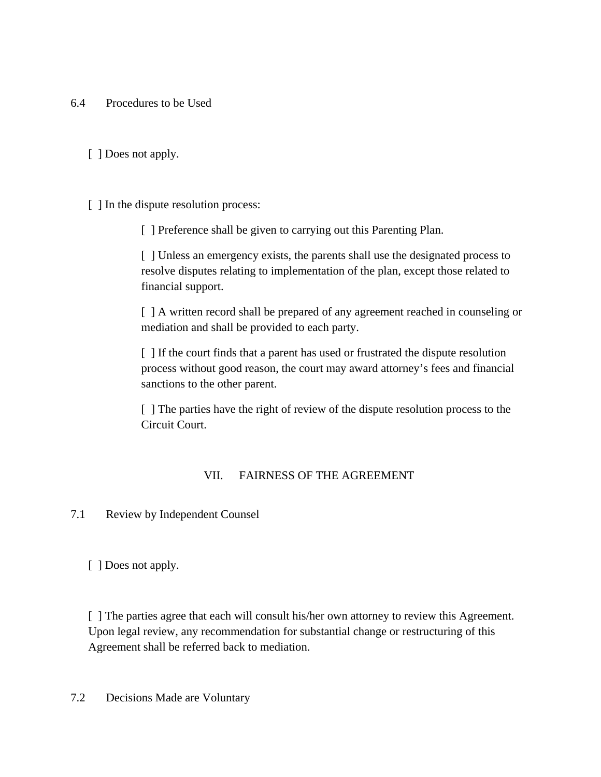- 6.4 Procedures to be Used
	- [ ] Does not apply.
	- [ ] In the dispute resolution process:

[ ] Preference shall be given to carrying out this Parenting Plan.

[ ] Unless an emergency exists, the parents shall use the designated process to resolve disputes relating to implementation of the plan, except those related to financial support.

[ ] A written record shall be prepared of any agreement reached in counseling or mediation and shall be provided to each party.

[ ] If the court finds that a parent has used or frustrated the dispute resolution process without good reason, the court may award attorney's fees and financial sanctions to the other parent.

[ ] The parties have the right of review of the dispute resolution process to the Circuit Court.

## VII. FAIRNESS OF THE AGREEMENT

7.1 Review by Independent Counsel

[ ] Does not apply.

[ ] The parties agree that each will consult his/her own attorney to review this Agreement. Upon legal review, any recommendation for substantial change or restructuring of this Agreement shall be referred back to mediation.

7.2 Decisions Made are Voluntary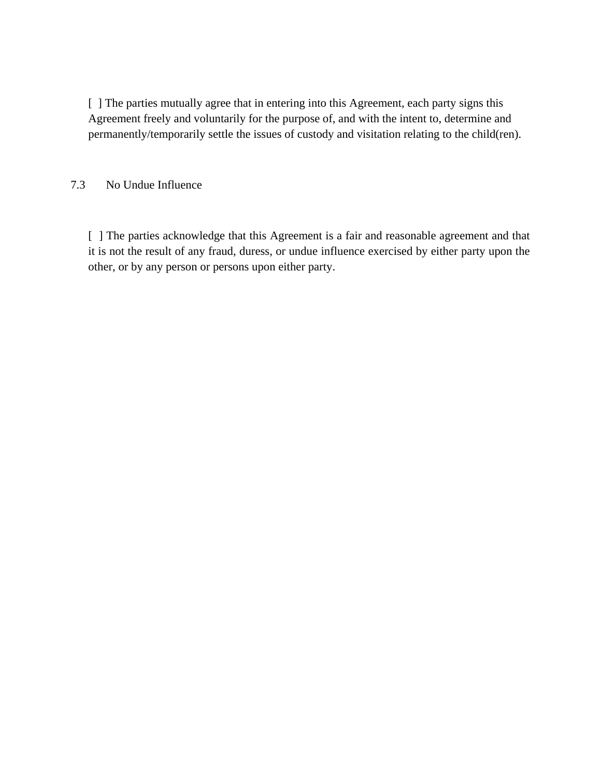[ ] The parties mutually agree that in entering into this Agreement, each party signs this Agreement freely and voluntarily for the purpose of, and with the intent to, determine and permanently/temporarily settle the issues of custody and visitation relating to the child(ren).

#### 7.3 No Undue Influence

[ ] The parties acknowledge that this Agreement is a fair and reasonable agreement and that it is not the result of any fraud, duress, or undue influence exercised by either party upon the other, or by any person or persons upon either party.